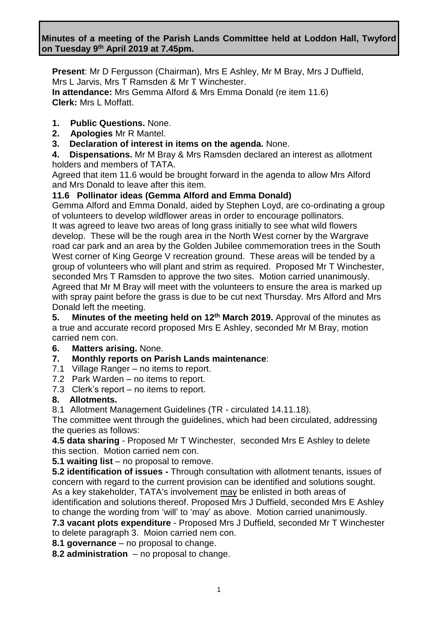### **Minutes of a meeting of the Parish Lands Committee held at Loddon Hall, Twyford on Tuesday 9 th April 2019 at 7.45pm.**

**Present**: Mr D Fergusson (Chairman), Mrs E Ashley, Mr M Bray, Mrs J Duffield, Mrs L Jarvis, Mrs T Ramsden & Mr T Winchester. **In attendance:** Mrs Gemma Alford & Mrs Emma Donald (re item 11.6) **Clerk:** Mrs L Moffatt.

- **1. Public Questions.** None.
- **2. Apologies** Mr R Mantel.
- **3. Declaration of interest in items on the agenda.** None.

**4. Dispensations.** Mr M Bray & Mrs Ramsden declared an interest as allotment holders and members of TATA.

Agreed that item 11.6 would be brought forward in the agenda to allow Mrs Alford and Mrs Donald to leave after this item.

### **11.6 Pollinator ideas (Gemma Alford and Emma Donald)**

Gemma Alford and Emma Donald, aided by Stephen Loyd, are co-ordinating a group of volunteers to develop wildflower areas in order to encourage pollinators. It was agreed to leave two areas of long grass initially to see what wild flowers develop. These will be the rough area in the North West corner by the Wargrave road car park and an area by the Golden Jubilee commemoration trees in the South West corner of King George V recreation ground. These areas will be tended by a group of volunteers who will plant and strim as required. Proposed Mr T Winchester, seconded Mrs T Ramsden to approve the two sites. Motion carried unanimously. Agreed that Mr M Bray will meet with the volunteers to ensure the area is marked up with spray paint before the grass is due to be cut next Thursday. Mrs Alford and Mrs Donald left the meeting.

**5. Minutes of the meeting held on 12th March 2019.** Approval of the minutes as a true and accurate record proposed Mrs E Ashley, seconded Mr M Bray, motion carried nem con.

**6. Matters arising.** None.

### **7. Monthly reports on Parish Lands maintenance**:

- 7.1 Village Ranger no items to report.
- 7.2 Park Warden no items to report.
- 7.3 Clerk's report no items to report.

### **8. Allotments.**

8.1 Allotment Management Guidelines (TR - circulated 14.11.18).

The committee went through the guidelines, which had been circulated, addressing the queries as follows:

**4.5 data sharing** - Proposed Mr T Winchester, seconded Mrs E Ashley to delete this section. Motion carried nem con.

**5.1 waiting list** – no proposal to remove.

**5.2 identification of issues -** Through consultation with allotment tenants, issues of concern with regard to the current provision can be identified and solutions sought. As a key stakeholder, TATA's involvement may be enlisted in both areas of identification and solutions thereof. Proposed Mrs J Duffield, seconded Mrs E Ashley to change the wording from 'will' to 'may' as above. Motion carried unanimously.

**7.3 vacant plots expenditure** - Proposed Mrs J Duffield, seconded Mr T Winchester to delete paragraph 3. Moion carried nem con.

**8.1 governance** – no proposal to change.

**8.2 administration** – no proposal to change.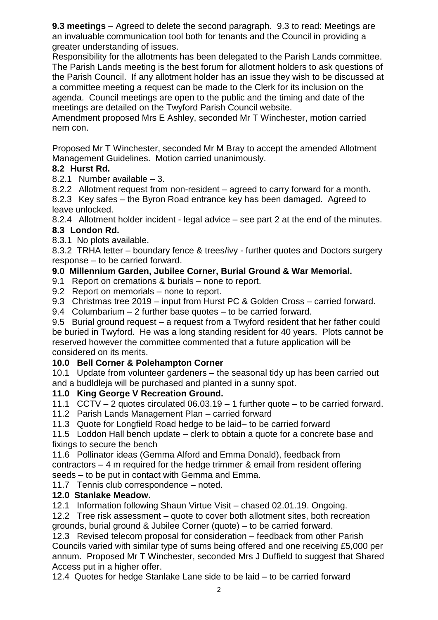**9.3 meetings** – Agreed to delete the second paragraph. 9.3 to read: Meetings are an invaluable communication tool both for tenants and the Council in providing a greater understanding of issues.

Responsibility for the allotments has been delegated to the Parish Lands committee. The Parish Lands meeting is the best forum for allotment holders to ask questions of the Parish Council. If any allotment holder has an issue they wish to be discussed at a committee meeting a request can be made to the Clerk for its inclusion on the agenda. Council meetings are open to the public and the timing and date of the meetings are detailed on the Twyford Parish Council website.

Amendment proposed Mrs E Ashley, seconded Mr T Winchester, motion carried nem con.

Proposed Mr T Winchester, seconded Mr M Bray to accept the amended Allotment Management Guidelines. Motion carried unanimously.

# **8.2 Hurst Rd.**

- 8.2.1 Number available 3.
- 8.2.2 Allotment request from non-resident agreed to carry forward for a month.

8.2.3 Key safes – the Byron Road entrance key has been damaged. Agreed to leave unlocked.

8.2.4 Allotment holder incident - legal advice – see part 2 at the end of the minutes. **8.3 London Rd.**

8.3.1 No plots available.

8.3.2 TRHA letter – boundary fence & trees/ivy - further quotes and Doctors surgery response – to be carried forward.

### **9.0 Millennium Garden, Jubilee Corner, Burial Ground & War Memorial.**

- 9.1 Report on cremations & burials none to report.
- 9.2 Report on memorials none to report.
- 9.3 Christmas tree 2019 input from Hurst PC & Golden Cross carried forward.
- 9.4 Columbarium 2 further base quotes to be carried forward.

9.5 Burial ground request – a request from a Twyford resident that her father could be buried in Twyford. He was a long standing resident for 40 years. Plots cannot be reserved however the committee commented that a future application will be considered on its merits.

### **10.0 Bell Corner & Polehampton Corner**

10.1 Update from volunteer gardeners – the seasonal tidy up has been carried out and a budldleja will be purchased and planted in a sunny spot.

### **11.0 King George V Recreation Ground.**

11.1 CCTV – 2 quotes circulated 06.03.19 – 1 further quote – to be carried forward.

- 11.2 Parish Lands Management Plan carried forward
- 11.3 Quote for Longfield Road hedge to be laid– to be carried forward

11.5 Loddon Hall bench update – clerk to obtain a quote for a concrete base and fixings to secure the bench

11.6 Pollinator ideas (Gemma Alford and Emma Donald), feedback from contractors – 4 m required for the hedge trimmer & email from resident offering seeds – to be put in contact with Gemma and Emma.

11.7 Tennis club correspondence – noted.

# **12.0 Stanlake Meadow.**

12.1 Information following Shaun Virtue Visit – chased 02.01.19. Ongoing.

12.2 Tree risk assessment – quote to cover both allotment sites, both recreation grounds, burial ground & Jubilee Corner (quote) – to be carried forward.

12.3 Revised telecom proposal for consideration – feedback from other Parish Councils varied with similar type of sums being offered and one receiving £5,000 per annum. Proposed Mr T Winchester, seconded Mrs J Duffield to suggest that Shared Access put in a higher offer.

12.4 Quotes for hedge Stanlake Lane side to be laid – to be carried forward